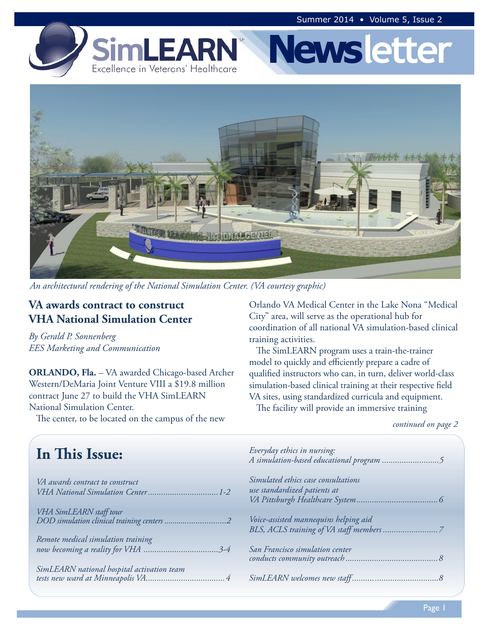



*An architectural rendering of the National Simulation Center. (VA courtesy graphic)*

## **VA awards contract to construct VHA National Simulation Center**

*By Gerald P. Sonnenberg EES Marketing and Communication*

**ORLANDO, Fla.** – VA awarded Chicago-based Archer Western/DeMaria Joint Venture VIII a \$19.8 million contract June 27 to build the VHA SimLEARN National Simulation Center. The center, to be located on the campus of the new

Orlando VA Medical Center in the Lake Nona "Medical City" area, will serve as the operational hub for coordination of all national VA simulation-based clinical training activities.

The SimLEARN program uses a train-the-trainer model to quickly and efficiently prepare a cadre of qualified instructors who can, in turn, deliver world-class simulation-based clinical training at their respective field VA sites, using standardized curricula and equipment.

The facility will provide an immersive training

*continued on page 2*

| In This Issue:                                                                                              | Everyday ethics in nursing:                                         |
|-------------------------------------------------------------------------------------------------------------|---------------------------------------------------------------------|
| VA awards contract to construct<br>VHA National Simulation Center1-2                                        | Simulated ethics case consultations<br>use standardized patients at |
| VHA SimLEARN staff tour<br>DOD simulation clinical training centers 2<br>Remote medical simulation training | Voice-assisted mannequins helping aid                               |
|                                                                                                             | San Francisco simulation center                                     |
| SimLEARN national hospital activation team                                                                  |                                                                     |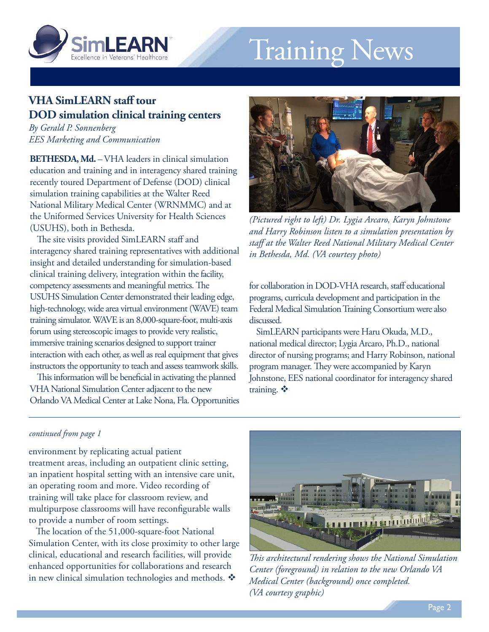<span id="page-1-0"></span>

# Training News

## **VHA SimLEARN staff tour DOD simulation clinical training centers**

*By Gerald P. Sonnenberg EES Marketing and Communication*

**BETHESDA, Md.** – VHA leaders in clinical simulation education and training and in interagency shared training recently toured Department of Defense (DOD) clinical simulation training capabilities at the Walter Reed National Military Medical Center (WRNMMC) and at the Uniformed Services University for Health Sciences (USUHS), both in Bethesda.

The site visits provided SimLEARN staff and interagency shared training representatives with additional insight and detailed understanding for simulation-based clinical training delivery, integration within the facility, competency assessments and meaningful metrics. The USUHS Simulation Center demonstrated their leading edge, high-technology, wide area virtual environment (WAVE) team training simulator. WAVE is an 8,000-square-foot, multi-axis forum using stereoscopic images to provide very realistic, immersive training scenarios designed to support trainer interaction with each other, as well as real equipment that gives instructors the opportunity to teach and assess teamwork skills.

This information will be beneficial in activating the planned VHA National Simulation Center adjacent to the new Orlando VA Medical Center at Lake Nona, Fla. Opportunities



*(Pictured right to left) Dr. Lygia Arcaro, Karyn Johnstone and Harry Robinson listen to a simulation presentation by staff at the Walter Reed National Military Medical Center in Bethesda, Md. (VA courtesy photo)*

for collaboration in DOD-VHA research, staff educational programs, curricula development and participation in the Federal Medical Simulation Training Consortium were also discussed.

SimLEARN participants were Haru Okuda, M.D., national medical director; Lygia Arcaro, Ph.D., national director of nursing programs; and Harry Robinson, national program manager. They were accompanied by Karyn Johnstone, EES national coordinator for interagency shared training.  $\ddot{\bullet}$ 

#### *continued from page 1*

environment by replicating actual patient treatment areas, including an outpatient clinic setting, an inpatient hospital setting with an intensive care unit, an operating room and more. Video recording of training will take place for classroom review, and multipurpose classrooms will have reconfigurable walls to provide a number of room settings.

The location of the 51,000-square-foot National Simulation Center, with its close proximity to other large clinical, educational and research facilities, will provide enhanced opportunities for collaborations and research in new clinical simulation technologies and methods.  $\mathbf{\hat{*}}$ 



*This architectural rendering shows the National Simulation Center (foreground) in relation to the new Orlando VA Medical Center (background) once completed. (VA courtesy graphic)*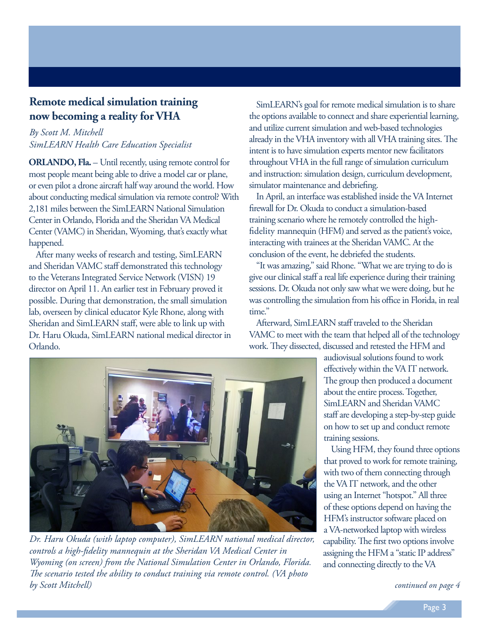## <span id="page-2-0"></span>**Remote medical simulation training now becoming a reality for VHA**

### *By Scott M. Mitchell SimLEARN Health Care Education Specialist*

**ORLANDO, Fla.** – Until recently, using remote control for most people meant being able to drive a model car or plane, or even pilot a drone aircraft half way around the world. How about conducting medical simulation via remote control? With 2,181 miles between the SimLEARN National Simulation Center in Orlando, Florida and the Sheridan VA Medical Center (VAMC) in Sheridan, Wyoming, that's exactly what happened.

After many weeks of research and testing, SimLEARN and Sheridan VAMC staff demonstrated this technology to the Veterans Integrated Service Network (VISN) 19 director on April 11. An earlier test in February proved it possible. During that demonstration, the small simulation lab, overseen by clinical educator Kyle Rhone, along with Sheridan and SimLEARN staff, were able to link up with Dr. Haru Okuda, SimLEARN national medical director in Orlando.

SimLEARN's goal for remote medical simulation is to share the options available to connect and share experiential learning, and utilize current simulation and web-based technologies already in the VHA inventory with all VHA training sites. The intent is to have simulation experts mentor new facilitators throughout VHA in the full range of simulation curriculum and instruction: simulation design, curriculum development, simulator maintenance and debriefing.

In April, an interface was established inside the VA Internet firewall for Dr. Okuda to conduct a simulation-based training scenario where he remotely controlled the highfidelity mannequin (HFM) and served as the patient's voice, interacting with trainees at the Sheridan VAMC. At the conclusion of the event, he debriefed the students.

"It was amazing," said Rhone. "What we are trying to do is give our clinical staff a real life experience during their training sessions. Dr. Okuda not only saw what we were doing, but he was controlling the simulation from his office in Florida, in real time."

Afterward, SimLEARN staff traveled to the Sheridan VAMC to meet with the team that helped all of the technology work. They dissected, discussed and retested the HFM and



*Dr. Haru Okuda (with laptop computer), SimLEARN national medical director, controls a high-fidelity mannequin at the Sheridan VA Medical Center in Wyoming (on screen) from the National Simulation Center in Orlando, Florida. The scenario tested the ability to conduct training via remote control. (VA photo by Scott Mitchell)*

audiovisual solutions found to work effectively within the VA IT network. The group then produced a document about the entire process. Together, SimLEARN and Sheridan VAMC staff are developing a step-by-step guide on how to set up and conduct remote training sessions.

Using HFM, they found three options that proved to work for remote training, with two of them connecting through the VA IT network, and the other using an Internet "hotspot." All three of these options depend on having the HFM's instructor software placed on a VA-networked laptop with wireless capability. The first two options involve assigning the HFM a "static IP address" and connecting directly to the VA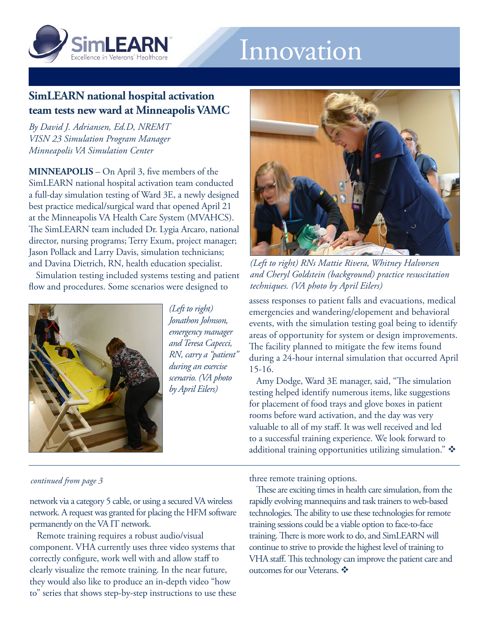<span id="page-3-0"></span>

## Innovation

## **SimLEARN national hospital activation team tests new ward at Minneapolis VAMC**

*By David J. Adriansen, Ed.D, NREMT VISN 23 Simulation Program Manager Minneapolis VA Simulation Center*

**MINNEAPOLIS** – On April 3, five members of the SimLEARN national hospital activation team conducted a full-day simulation testing of Ward 3E, a newly designed best practice medical/surgical ward that opened April 21 at the Minneapolis VA Health Care System (MVAHCS). The SimLEARN team included Dr. Lygia Arcaro, national director, nursing programs; Terry Exum, project manager; Jason Pollack and Larry Davis, simulation technicians; and Davina Dietrich, RN, health education specialist.

Simulation testing included systems testing and patient flow and procedures. Some scenarios were designed to



*(Left to right) Jonathon Johnson, emergency manager and Teresa Capecci, RN, carry a "patient" during an exercise scenario. (VA photo by April Eilers)*



*(Left to right) RNs Mattie Rivera, Whitney Halvorsen and Cheryl Goldstein (background) practice resuscitation techniques. (VA photo by April Eilers)*

assess responses to patient falls and evacuations, medical emergencies and wandering/elopement and behavioral events, with the simulation testing goal being to identify areas of opportunity for system or design improvements. The facility planned to mitigate the few items found during a 24-hour internal simulation that occurred April 15-16.

Amy Dodge, Ward 3E manager, said, "The simulation testing helped identify numerous items, like suggestions for placement of food trays and glove boxes in patient rooms before ward activation, and the day was very valuable to all of my staff. It was well received and led to a successful training experience. We look forward to additional training opportunities utilizing simulation."

#### *continued from page 3*

network via a category 5 cable, or using a secured VA wireless network. A request was granted for placing the HFM software permanently on the VA IT network.

Remote training requires a robust audio/visual component. VHA currently uses three video systems that correctly configure, work well with and allow staff to clearly visualize the remote training. In the near future, they would also like to produce an in-depth video "how to" series that shows step-by-step instructions to use these three remote training options.

These are exciting times in health care simulation, from the rapidly evolving mannequins and task trainers to web-based technologies. The ability to use these technologies for remote training sessions could be a viable option to face-to-face training. There is more work to do, and SimLEARN will continue to strive to provide the highest level of training to VHA staff. This technology can improve the patient care and outcomes for our Veterans.  $\clubsuit$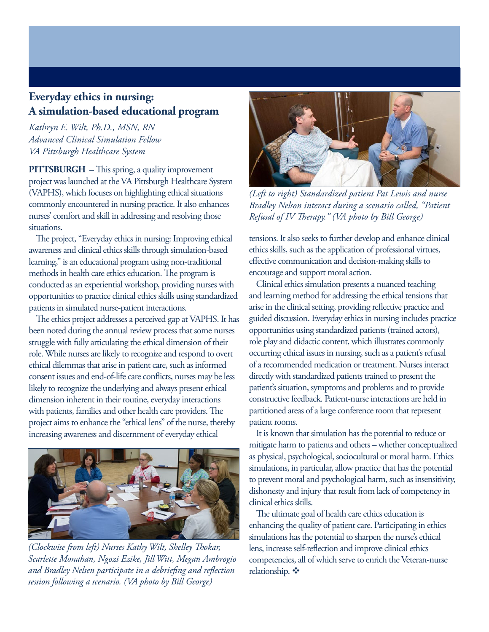## <span id="page-4-0"></span>**Everyday ethics in nursing: A simulation-based educational program**

*Kathryn E. Wilt, Ph.D., MSN, RN Advanced Clinical Simulation Fellow VA Pittsburgh Healthcare System* 

**PITTSBURGH** – This spring, a quality improvement project was launched at the VA Pittsburgh Healthcare System (VAPHS), which focuses on highlighting ethical situations commonly encountered in nursing practice. It also enhances nurses' comfort and skill in addressing and resolving those situations.

The project, "Everyday ethics in nursing: Improving ethical awareness and clinical ethics skills through simulation-based learning," is an educational program using non-traditional methods in health care ethics education. The program is conducted as an experiential workshop, providing nurses with opportunities to practice clinical ethics skills using standardized patients in simulated nurse-patient interactions.

The ethics project addresses a perceived gap at VAPHS. It has been noted during the annual review process that some nurses struggle with fully articulating the ethical dimension of their role. While nurses are likely to recognize and respond to overt ethical dilemmas that arise in patient care, such as informed consent issues and end-of-life care conflicts, nurses may be less likely to recognize the underlying and always present ethical dimension inherent in their routine, everyday interactions with patients, families and other health care providers. The project aims to enhance the "ethical lens" of the nurse, thereby increasing awareness and discernment of everyday ethical



*(Clockwise from left) Nurses Kathy Wilt, Shelley Thokar, Scarlette Monahan, Ngozi Ezike, Jill Witt, Megan Ambrogio and Bradley Nelsen participate in a debriefing and reflection session following a scenario. (VA photo by Bill George)*



*(Left to right) Standardized patient Pat Lewis and nurse Bradley Nelson interact during a scenario called, "Patient Refusal of IV Therapy." (VA photo by Bill George)*

tensions. It also seeks to further develop and enhance clinical ethics skills, such as the application of professional virtues, effective communication and decision-making skills to encourage and support moral action.

Clinical ethics simulation presents a nuanced teaching and learning method for addressing the ethical tensions that arise in the clinical setting, providing reflective practice and guided discussion. Everyday ethics in nursing includes practice opportunities using standardized patients (trained actors), role play and didactic content, which illustrates commonly occurring ethical issues in nursing, such as a patient's refusal of a recommended medication or treatment. Nurses interact directly with standardized patients trained to present the patient's situation, symptoms and problems and to provide constructive feedback. Patient-nurse interactions are held in partitioned areas of a large conference room that represent patient rooms.

It is known that simulation has the potential to reduce or mitigate harm to patients and others – whether conceptualized as physical, psychological, sociocultural or moral harm. Ethics simulations, in particular, allow practice that has the potential to prevent moral and psychological harm, such as insensitivity, dishonesty and injury that result from lack of competency in clinical ethics skills.

The ultimate goal of health care ethics education is enhancing the quality of patient care. Participating in ethics simulations has the potential to sharpen the nurse's ethical lens, increase self-reflection and improve clinical ethics competencies, all of which serve to enrich the Veteran-nurse relationship.  $\mathbf{\hat{P}}$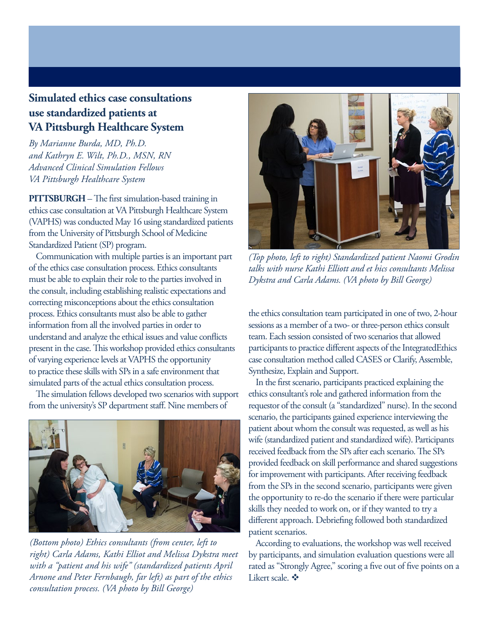## <span id="page-5-0"></span>**Simulated ethics case consultations use standardized patients at VA Pittsburgh Healthcare System**

*By Marianne Burda, MD, Ph.D. and Kathryn E. Wilt, Ph.D., MSN, RN Advanced Clinical Simulation Fellows VA Pittsburgh Healthcare System* 

**PITTSBURGH** – The first simulation-based training in ethics case consultation at VA Pittsburgh Healthcare System (VAPHS) was conducted May 16 using standardized patients from the University of Pittsburgh School of Medicine Standardized Patient (SP) program.

Communication with multiple parties is an important part of the ethics case consultation process. Ethics consultants must be able to explain their role to the parties involved in the consult, including establishing realistic expectations and correcting misconceptions about the ethics consultation process. Ethics consultants must also be able to gather information from all the involved parties in order to understand and analyze the ethical issues and value conflicts present in the case. This workshop provided ethics consultants of varying experience levels at VAPHS the opportunity to practice these skills with SPs in a safe environment that simulated parts of the actual ethics consultation process.

The simulation fellows developed two scenarios with support from the university's SP department staff. Nine members of



*(Bottom photo) Ethics consultants (from center, left to right) Carla Adams, Kathi Elliot and Melissa Dykstra meet with a "patient and his wife" (standardized patients April Arnone and Peter Fernbaugh, far left) as part of the ethics consultation process. (VA photo by Bill George)*



*(Top photo, left to right) Standardized patient Naomi Grodin talks with nurse Kathi Elliott and et hics consultants Melissa Dykstra and Carla Adams. (VA photo by Bill George)*

the ethics consultation team participated in one of two, 2-hour sessions as a member of a two- or three-person ethics consult team. Each session consisted of two scenarios that allowed participants to practice different aspects of the IntegratedEthics case consultation method called CASES or Clarify, Assemble, Synthesize, Explain and Support.

In the first scenario, participants practiced explaining the ethics consultant's role and gathered information from the requestor of the consult (a "standardized" nurse). In the second scenario, the participants gained experience interviewing the patient about whom the consult was requested, as well as his wife (standardized patient and standardized wife). Participants received feedback from the SPs after each scenario. The SPs provided feedback on skill performance and shared suggestions for improvement with participants. After receiving feedback from the SPs in the second scenario, participants were given the opportunity to re-do the scenario if there were particular skills they needed to work on, or if they wanted to try a different approach. Debriefing followed both standardized patient scenarios.

According to evaluations, the workshop was well received by participants, and simulation evaluation questions were all rated as "Strongly Agree," scoring a five out of five points on a Likert scale.  $\mathbf{\hat{v}}$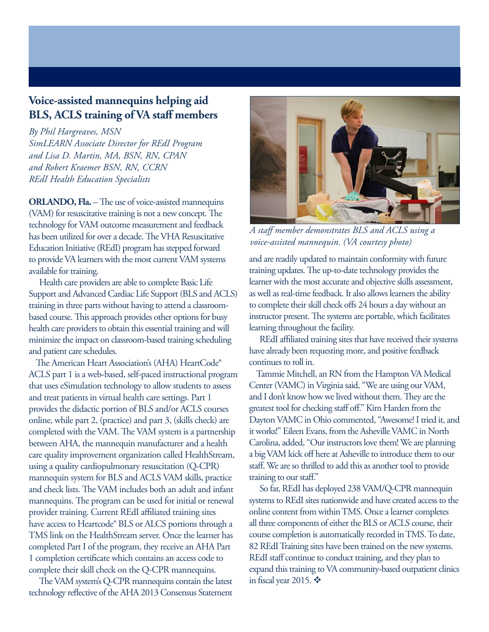## <span id="page-6-0"></span>**Voice-assisted mannequins helping aid BLS, ACLS training of VA staff members**

*By Phil Hargreaves, MSN SimLEARN Associate Director for REdI Program and Lisa D. Martin, MA, BSN, RN, CPAN and Robert Kraemer BSN, RN, CCRN REdI Health Education Specialists*

**ORLANDO, Fla.** – The use of voice-assisted mannequins (VAM) for resuscitative training is not a new concept. The technology for VAM outcome measurement and feedback has been utilized for over a decade. The VHA Resuscitative Education Initiative (REdI) program has stepped forward to provide VA learners with the most current VAM systems available for training.

 Health care providers are able to complete Basic Life Support and Advanced Cardiac Life Support (BLS and ACLS) training in three parts without having to attend a classroombased course. This approach provides other options for busy health care providers to obtain this essential training and will minimize the impact on classroom-based training scheduling and patient care schedules.

The American Heart Association's (AHA) HeartCode® ACLS part 1 is a web-based, self-paced instructional program that uses eSimulation technology to allow students to assess and treat patients in virtual health care settings. Part 1 provides the didactic portion of BLS and/or ACLS courses online, while part 2, (practice) and part 3, (skills check) are completed with the VAM. The VAM system is a partnership between AHA, the mannequin manufacturer and a health care quality improvement organization called HealthStream, using a quality cardiopulmonary resuscitation (Q-CPR) mannequin system for BLS and ACLS VAM skills, practice and check lists. The VAM includes both an adult and infant mannequins. The program can be used for initial or renewal provider training. Current REdI affiliated training sites have access to Heartcode<sup>®</sup> BLS or ALCS portions through a TMS link on the HealthStream server. Once the learner has completed Part I of the program, they receive an AHA Part 1 completion certificate which contains an access code to complete their skill check on the Q-CPR mannequins.

 The VAM system's Q-CPR mannequins contain the latest technology reflective of the AHA 2013 Consensus Statement



*A staff member demonstrates BLS and ACLS using a voice-assisted mannequin. (VA courtesy photo)*

and are readily updated to maintain conformity with future training updates. The up-to-date technology provides the learner with the most accurate and objective skills assessment, as well as real-time feedback. It also allows learners the ability to complete their skill check offs 24 hours a day without an instructor present. The systems are portable, which facilitates learning throughout the facility.

 REdI affiliated training sites that have received their systems have already been requesting more, and positive feedback continues to roll in.

Tammie Mitchell, an RN from the Hampton VA Medical Center (VAMC) in Virginia said, "We are using our VAM, and I don't know how we lived without them. They are the greatest tool for checking staff off." Kim Harden from the Dayton VAMC in Ohio commented, "Awesome! I tried it, and it works!" Eileen Evans, from the Asheville VAMC in North Carolina, added, "Our instructors love them! We are planning a big VAM kick off here at Asheville to introduce them to our staff. We are so thrilled to add this as another tool to provide training to our staff."

 So far, REdI has deployed 238 VAM/Q-CPR mannequin systems to REdI sites nationwide and have created access to the online content from within TMS. Once a learner completes all three components of either the BLS or ACLS course, their course completion is automatically recorded in TMS. To date, 82 REdI Training sites have been trained on the new systems. REdI staff continue to conduct training, and they plan to expand this training to VA community-based outpatient clinics in fiscal year 2015.  $\mathbf{\hat{P}}$